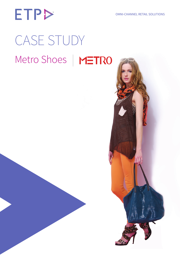# **ETP>** CASE STUDY

## Metro Shoes | METRO

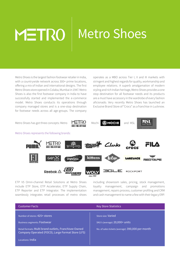# METRO 1

### **Metro Shoes**

Metro Shoes is the largest fashion footwear retailer in India, with a countrywide network across 300+ prime locations, offering a mix of Indian and international designs. The first Metro Shoes store opened in Colaba, Mumbai in 1947. Metro Shoes is also the first footwear company in India to have successfully started and implemented the e-commerce model. Metro Shoes conducts its operations through company managed stores and is a one-stop destination for footwear needs across all age-groups. The company

operates as a MBO across Tier I, II and III markets with stringent and highest regards for quality, workmanship and employee relations. A superb amalgamation of modern styling and rich Indian heritage, Metro Shoes provides a one stop destination for all footwear needs and its products are a must have accessory in the wardrobe of every fashion aficionado. Very recently Metro Shoes has launched an Exclusive Brand Store of "Crocs" as a franchise in Lucknow.

Metro Shoes has got three concepts: Metro  $M=TRO$  Mochi  $R$  Mochi and MSL



Metro Shoes represents the following brands:



ETP V5 Omni-channel Retail Solutions at Metro Shoes include ETP Store, ETP Accelerator, ETP Supply Chain, ETP Reporter and ETP Integrator. The implementation seamlessly integrates retail processes of metro shoes

including showroom sales, pricing, stock management, loyalty management, campaign and promotions management, repairs process, customer profiling and CRM and cash management to name a few with their legacy ERP.

| <b>Customer Facts</b>                                                                                      | <b>Key Store Statistics</b>                       |
|------------------------------------------------------------------------------------------------------------|---------------------------------------------------|
| Number of stores: 425+ Stores                                                                              | Store size: Varied                                |
| <b>Business segments: Footwear</b>                                                                         | SKU's (average): 20,000+ units                    |
| Retail formats: Multi brand outlets, Franchisee Owned<br>Company Operated (FOCO), Large Format Store (LFS) | No. of sales tickets (average): 390,000 per month |
| Locations: India                                                                                           |                                                   |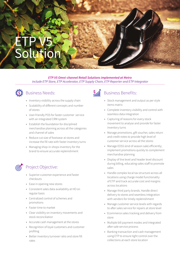### ETP V5 Solution

*ETP V5 Omni-channel Retail Solutions implemented at Metro include ETP Store, ETP Accelerator, ETP Supply Chain, ETP Reporter and ETP Integrator*



#### **S**: Business Needs:

- Inventory visibility across the supply chain
- • Scalability of different concepts and number of stores
- • User-friendly POS for faster customer service with an integrated CRM system
- • Establish the foundation for disciplined merchandise planning across all the categories and channel of sales
- • Reduce cut-size of footwear at stores and increase the fill rate with faster inventory turns
- Managing shop-in-shops inventory for the brand to ensure accurate replenishment



#### Project Objective:

- • Superior customer experience and faster checkouts
- • Ease in opening new stores
- • Consistent sales data availability at HO on regular basis
- • Centralized control of schemes and promotions
- • Faster time to market
- • Clear visibility on inventory movements and stock reconciliation
- • Accurate cash management at the stores
- • Recognition of loyal customers and customer profiling
- • Better inventory turnover ratio and store fill rates

### $\frac{S}{111}$

#### Business Benefits:

- • Stock management and output as per style items matrix
- • Complete inventory visibility and control with seamless data integration
- • Capturing of reasons for every stock movement to analyse and provide for faster inventory turns
- Manage promotions, gift voucher, sales return and credit notes to provide high level of customer service across all the stores
- Manage EOSS (end of season sale) efficiently; implement promotions quickly to complement merchandise planning
- • Display of line level and header level discount during billing, educating sales staff to promote sales
- Handle complex local tax structure across all locations using charge model functionality of ETP and track accurate cost and margins across locations
- • Manage third party brands. Handle direct delivery to stores and seamless integration with vendors for timely replenishment
- • Manage customer service levels with regards to after sales service for repairs at store level
- • Ecommerce sales tracking and delivery from store
- • Multiple bill payment modes and integrated after-sale service process
- • Banking transaction and cash management using ETP to ensure tight control over the collections at each store location